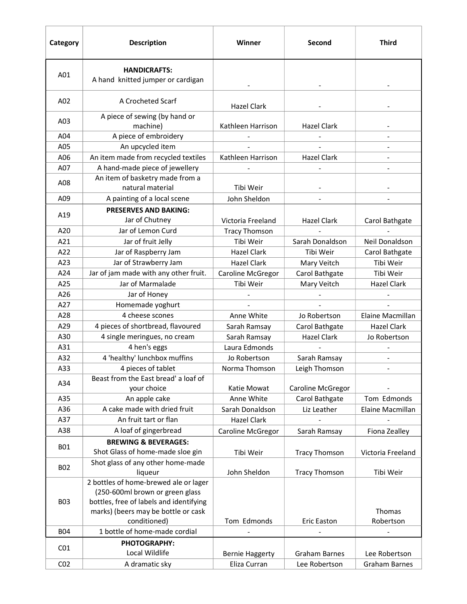| Category        | <b>Description</b>                                                                                                                                         | Winner                 | <b>Second</b>            | <b>Third</b>         |
|-----------------|------------------------------------------------------------------------------------------------------------------------------------------------------------|------------------------|--------------------------|----------------------|
| A01             | <b>HANDICRAFTS:</b><br>A hand knitted jumper or cardigan                                                                                                   |                        |                          |                      |
| A02             | A Crocheted Scarf                                                                                                                                          | Hazel Clark            |                          |                      |
| A03             | A piece of sewing (by hand or<br>machine)                                                                                                                  | Kathleen Harrison      | Hazel Clark              |                      |
| A04             | A piece of embroidery                                                                                                                                      |                        |                          |                      |
| A05             | An upcycled item                                                                                                                                           |                        |                          |                      |
| A06             | An item made from recycled textiles                                                                                                                        | Kathleen Harrison      | <b>Hazel Clark</b>       |                      |
| A07             | A hand-made piece of jewellery                                                                                                                             |                        |                          |                      |
| A08             | An item of basketry made from a<br>natural material                                                                                                        | Tibi Weir              |                          |                      |
| A09             | A painting of a local scene                                                                                                                                | John Sheldon           |                          |                      |
|                 | <b>PRESERVES AND BAKING:</b>                                                                                                                               |                        |                          |                      |
| A19             | Jar of Chutney                                                                                                                                             | Victoria Freeland      | Hazel Clark              | Carol Bathgate       |
| A20             | Jar of Lemon Curd                                                                                                                                          | <b>Tracy Thomson</b>   |                          |                      |
| A21             | Jar of fruit Jelly                                                                                                                                         | Tibi Weir              | Sarah Donaldson          | Neil Donaldson       |
| A22             | Jar of Raspberry Jam                                                                                                                                       | <b>Hazel Clark</b>     | Tibi Weir                | Carol Bathgate       |
| A23             | Jar of Strawberry Jam                                                                                                                                      | Hazel Clark            | Mary Veitch              | Tibi Weir            |
| A24             | Jar of jam made with any other fruit.                                                                                                                      | Caroline McGregor      | Carol Bathgate           | Tibi Weir            |
| A25             | Jar of Marmalade                                                                                                                                           | Tibi Weir              | Mary Veitch              | <b>Hazel Clark</b>   |
| A26             | Jar of Honey                                                                                                                                               |                        |                          |                      |
| A27             | Homemade yoghurt                                                                                                                                           |                        |                          |                      |
| A28             | 4 cheese scones                                                                                                                                            | Anne White             | Jo Robertson             | Elaine Macmillan     |
| A29             | 4 pieces of shortbread, flavoured                                                                                                                          | Sarah Ramsay           | Carol Bathgate           | <b>Hazel Clark</b>   |
| A30             | 4 single meringues, no cream                                                                                                                               | Sarah Ramsay           | <b>Hazel Clark</b>       | Jo Robertson         |
| A31             | 4 hen's eggs                                                                                                                                               | Laura Edmonds          |                          |                      |
| A32             | 4 'healthy' lunchbox muffins                                                                                                                               | Jo Robertson           | Sarah Ramsay             |                      |
| A33             | 4 pieces of tablet                                                                                                                                         | Norma Thomson          | Leigh Thomson            |                      |
| A34             | Beast from the East bread' a loaf of<br>your choice                                                                                                        | Katie Mowat            | <b>Caroline McGregor</b> |                      |
| A35             | An apple cake                                                                                                                                              | Anne White             | Carol Bathgate           | Tom Edmonds          |
| A36             | A cake made with dried fruit                                                                                                                               | Sarah Donaldson        | Liz Leather              | Elaine Macmillan     |
| A37             | An fruit tart or flan                                                                                                                                      | Hazel Clark            |                          |                      |
| A38             | A loaf of gingerbread                                                                                                                                      | Caroline McGregor      | Sarah Ramsay             | Fiona Zealley        |
| <b>B01</b>      | <b>BREWING &amp; BEVERAGES:</b><br>Shot Glass of home-made sloe gin                                                                                        | Tibi Weir              | <b>Tracy Thomson</b>     | Victoria Freeland    |
| <b>B02</b>      | Shot glass of any other home-made<br>liqueur                                                                                                               | John Sheldon           | <b>Tracy Thomson</b>     | Tibi Weir            |
| <b>B03</b>      | 2 bottles of home-brewed ale or lager<br>(250-600ml brown or green glass<br>bottles, free of labels and identifying<br>marks) (beers may be bottle or cask |                        |                          | Thomas               |
|                 | conditioned)                                                                                                                                               | Tom Edmonds            | <b>Eric Easton</b>       | Robertson            |
| <b>B04</b>      | 1 bottle of home-made cordial                                                                                                                              |                        |                          |                      |
| CO <sub>1</sub> | PHOTOGRAPHY:                                                                                                                                               |                        |                          |                      |
|                 | Local Wildlife                                                                                                                                             | <b>Bernie Haggerty</b> | <b>Graham Barnes</b>     | Lee Robertson        |
| CO <sub>2</sub> | A dramatic sky                                                                                                                                             | Eliza Curran           | Lee Robertson            | <b>Graham Barnes</b> |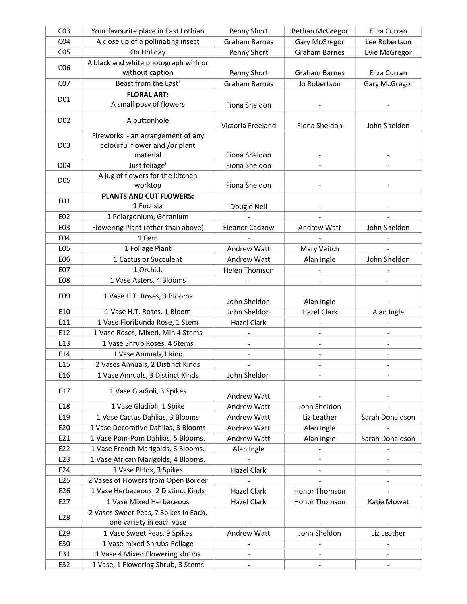| CO <sub>3</sub>  | Your favourite place in East Lothian  | Penny Short              | <b>Bethan McGregor</b>       | Eliza Curran                 |
|------------------|---------------------------------------|--------------------------|------------------------------|------------------------------|
| CO <sub>4</sub>  | A close up of a pollinating insect    | <b>Graham Barnes</b>     | Gary McGregor                | Lee Robertson                |
| CO <sub>5</sub>  | On Holiday                            | Penny Short              | <b>Graham Barnes</b>         | Evie McGregor                |
|                  | A black and white photograph with or  |                          |                              |                              |
| CO6              | without caption                       | Penny Short              | <b>Graham Barnes</b>         | Eliza Curran                 |
| CO <sub>7</sub>  | Beast from the East'                  | <b>Graham Barnes</b>     | Jo Robertson                 | Gary McGregor                |
|                  | <b>FLORAL ART:</b>                    |                          |                              |                              |
| D01              | A small posy of flowers               | Fiona Sheldon            |                              |                              |
|                  |                                       |                          |                              |                              |
| D <sub>0</sub> 2 | A buttonhole                          | Victoria Freeland        | Fiona Sheldon                | John Sheldon                 |
|                  | Fireworks' - an arrangement of any    |                          |                              |                              |
| D <sub>03</sub>  | colourful flower and /or plant        |                          |                              |                              |
|                  | material                              | Fiona Sheldon            |                              |                              |
| D <sub>04</sub>  | Just foliage'                         | Fiona Sheldon            |                              |                              |
| D05              | A jug of flowers for the kitchen      |                          |                              |                              |
|                  | worktop                               | Fiona Sheldon            |                              |                              |
| E01              | <b>PLANTS AND CUT FLOWERS:</b>        |                          |                              |                              |
|                  | 1 Fuchsia                             | Dougie Neil              |                              |                              |
| E02              | 1 Pelargonium, Geranium               |                          |                              |                              |
| E03              | Flowering Plant (other than above)    | <b>Eleanor Cadzow</b>    | Andrew Watt                  | John Sheldon                 |
| E04              | 1 Fern                                |                          |                              |                              |
| <b>E05</b>       | 1 Foliage Plant                       | Andrew Watt              | Mary Veitch                  |                              |
| E06              | 1 Cactus or Succulent                 | Andrew Watt              | Alan Ingle                   | John Sheldon                 |
| E07              | 1 Orchid.                             | Helen Thomson            | $\blacksquare$               |                              |
| <b>E08</b>       | 1 Vase Asters, 4 Blooms               |                          |                              |                              |
| E09              | 1 Vase H.T. Roses, 3 Blooms           |                          |                              |                              |
|                  |                                       | John Sheldon             | Alan Ingle                   |                              |
| E10              | 1 Vase H.T. Roses, 1 Bloom            | John Sheldon             | <b>Hazel Clark</b>           | Alan Ingle                   |
| E11              | 1 Vase Floribunda Rose, 1 Stem        | <b>Hazel Clark</b>       |                              |                              |
| E12              | 1 Vase Roses, Mixed, Min 4 Stems      |                          | $\overline{\phantom{0}}$     | $\overline{\phantom{0}}$     |
| E13              | 1 Vase Shrub Roses, 4 Stems           | $\frac{1}{2}$            | $\frac{1}{2}$                | $\overline{\phantom{a}}$     |
| E14              | 1 Vase Annuals, 1 kind                |                          |                              |                              |
| E15              | 2 Vases Annuals, 2 Distinct Kinds     |                          |                              |                              |
| E16              | 1 Vase Annuals, 3 Distinct Kinds      | John Sheldon             | $\qquad \qquad \blacksquare$ | $\qquad \qquad \blacksquare$ |
| E17              | 1 Vase Gladioli, 3 Spikes             |                          |                              |                              |
|                  |                                       | Andrew Watt              |                              |                              |
| E18              | 1 Vase Gladioli, 1 Spike              | <b>Andrew Watt</b>       | John Sheldon                 |                              |
| E19              | 1 Vase Cactus Dahlias, 3 Blooms       | <b>Andrew Watt</b>       | Liz Leather                  | Sarah Donaldson              |
| E20              | 1 Vase Decorative Dahlias, 3 Blooms   | <b>Andrew Watt</b>       | Alan Ingle                   |                              |
| E21              | 1 Vase Pom-Pom Dahlias, 5 Blooms.     | <b>Andrew Watt</b>       | Alan Ingle                   | Sarah Donaldson              |
| E22              | 1 Vase French Marigolds, 6 Blooms.    | Alan Ingle               | $\overline{\phantom{0}}$     |                              |
| E23              | 1 Vase African Marigolds, 4 Blooms.   |                          |                              |                              |
| E24              | 1 Vase Phlox, 3 Spikes                | <b>Hazel Clark</b>       |                              |                              |
| E25              | 2 Vases of Flowers from Open Border   |                          | -                            | -                            |
| E26              | 1 Vase Herbaceous, 2 Distinct Kinds   | <b>Hazel Clark</b>       | Honor Thomson                |                              |
| E27              | 1 Vase Mixed Herbaceous               | Hazel Clark              | Honor Thomson                | Katie Mowat                  |
| E28              | 2 Vases Sweet Peas, 7 Spikes in Each, |                          |                              |                              |
|                  | one variety in each vase              |                          |                              |                              |
| E29              | 1 Vase Sweet Peas, 9 Spikes           | Andrew Watt              | John Sheldon                 | Liz Leather                  |
| E30              | 1 Vase mixed Shrubs-Foliage           | $\overline{\phantom{a}}$ | $\overline{a}$               |                              |
| E31              | 1 Vase 4 Mixed Flowering shrubs       | $\blacksquare$           | $\qquad \qquad \blacksquare$ | $\blacksquare$               |
| E32              | 1 Vase, 1 Flowering Shrub, 3 Stems    |                          |                              |                              |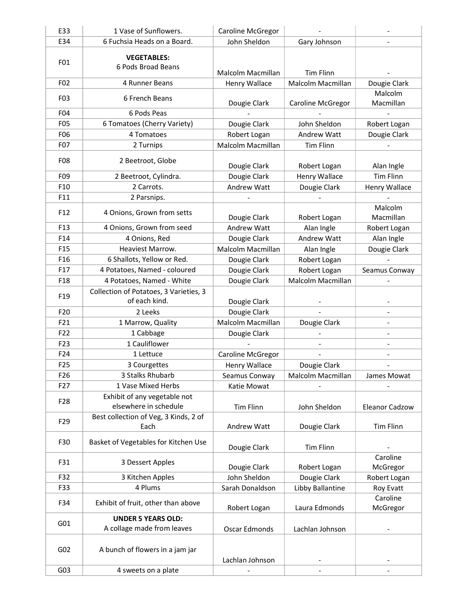| E33              | 1 Vase of Sunflowers.                                    | Caroline McGregor        |                          |                       |
|------------------|----------------------------------------------------------|--------------------------|--------------------------|-----------------------|
| E34              | 6 Fuchsia Heads on a Board.                              | John Sheldon             | Gary Johnson             |                       |
|                  |                                                          |                          |                          |                       |
| F01              | <b>VEGETABLES:</b>                                       |                          |                          |                       |
|                  | 6 Pods Broad Beans                                       | Malcolm Macmillan        | <b>Tim Flinn</b>         |                       |
| F02              | 4 Runner Beans                                           | Henry Wallace            | Malcolm Macmillan        | Dougie Clark          |
| F03              | 6 French Beans                                           |                          |                          | Malcolm               |
|                  |                                                          | Dougie Clark             | <b>Caroline McGregor</b> | Macmillan             |
| F04              | 6 Pods Peas                                              |                          |                          |                       |
| F05              | 6 Tomatoes (Cherry Variety)                              | Dougie Clark             | John Sheldon             | Robert Logan          |
| F06              | 4 Tomatoes                                               | Robert Logan             | <b>Andrew Watt</b>       | Dougie Clark          |
| F <sub>0</sub> 7 | 2 Turnips                                                | Malcolm Macmillan        | <b>Tim Flinn</b>         |                       |
| F08              |                                                          |                          |                          |                       |
|                  | 2 Beetroot, Globe                                        | Dougie Clark             | Robert Logan             | Alan Ingle            |
| F09              | 2 Beetroot, Cylindra.                                    | Dougie Clark             | Henry Wallace            | <b>Tim Flinn</b>      |
| F10              | 2 Carrots.                                               | Andrew Watt              | Dougie Clark             | Henry Wallace         |
| F11              | 2 Parsnips.                                              |                          |                          |                       |
| F <sub>12</sub>  | 4 Onions, Grown from setts                               |                          |                          | Malcolm               |
|                  |                                                          | Dougie Clark             | Robert Logan             | Macmillan             |
| F <sub>13</sub>  | 4 Onions, Grown from seed                                | Andrew Watt              | Alan Ingle               | Robert Logan          |
| F14              | 4 Onions, Red                                            | Dougie Clark             | Andrew Watt              | Alan Ingle            |
| F <sub>15</sub>  | Heaviest Marrow.                                         | Malcolm Macmillan        | Alan Ingle               | Dougie Clark          |
| F <sub>16</sub>  | 6 Shallots, Yellow or Red.                               | Dougie Clark             | Robert Logan             |                       |
| F17              | 4 Potatoes, Named - coloured                             | Dougie Clark             | Robert Logan             | Seamus Conway         |
| F <sub>18</sub>  | 4 Potatoes, Named - White                                | Dougie Clark             | Malcolm Macmillan        |                       |
| F <sub>19</sub>  | Collection of Potatoes, 3 Varieties, 3                   |                          |                          |                       |
|                  | of each kind.                                            | Dougie Clark             |                          |                       |
| F20              | 2 Leeks                                                  | Dougie Clark             |                          |                       |
| F21              | 1 Marrow, Quality                                        | Malcolm Macmillan        | Dougie Clark             |                       |
| F <sub>22</sub>  | 1 Cabbage                                                | Dougie Clark             |                          |                       |
| F23              | 1 Cauliflower                                            |                          |                          |                       |
| F24              | 1 Lettuce                                                | <b>Caroline McGregor</b> |                          |                       |
| F <sub>25</sub>  | 3 Courgettes                                             | Henry Wallace            | Dougie Clark             |                       |
| F <sub>26</sub>  | 3 Stalks Rhubarb                                         | Seamus Conway            | Malcolm Macmillan        | James Mowat           |
| F27              | 1 Vase Mixed Herbs                                       | Katie Mowat              |                          |                       |
|                  | Exhibit of any vegetable not                             |                          |                          |                       |
| F <sub>28</sub>  | elsewhere in schedule                                    | <b>Tim Flinn</b>         | John Sheldon             | <b>Eleanor Cadzow</b> |
| F <sub>29</sub>  | Best collection of Veg, 3 Kinds, 2 of                    |                          |                          |                       |
|                  | Each                                                     | Andrew Watt              | Dougie Clark             | <b>Tim Flinn</b>      |
| F30              | Basket of Vegetables for Kitchen Use<br>3 Dessert Apples |                          |                          |                       |
|                  |                                                          | Dougie Clark             | Tim Flinn                |                       |
| F31              |                                                          |                          |                          | Caroline              |
|                  |                                                          | Dougie Clark             | Robert Logan             | McGregor              |
| F32              | 3 Kitchen Apples                                         | John Sheldon             | Dougie Clark             | Robert Logan          |
| F33              | 4 Plums                                                  | Sarah Donaldson          | Libby Ballantine         | Roy Evatt             |
| F34              | Exhibit of fruit, other than above                       |                          |                          | Caroline              |
|                  |                                                          | Robert Logan             | Laura Edmonds            | McGregor              |
| G01              | <b>UNDER 5 YEARS OLD:</b>                                |                          |                          |                       |
|                  | A collage made from leaves                               | Oscar Edmonds            | Lachlan Johnson          |                       |
|                  |                                                          |                          |                          |                       |
| G02              | A bunch of flowers in a jam jar                          |                          |                          |                       |
| G03              |                                                          | Lachlan Johnson          |                          |                       |
|                  | 4 sweets on a plate                                      |                          |                          |                       |